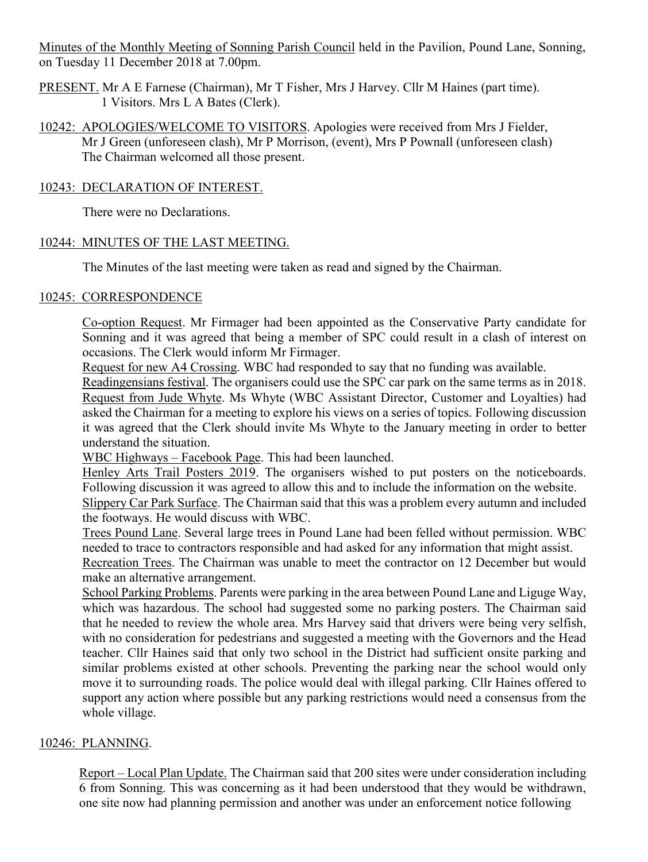Minutes of the Monthly Meeting of Sonning Parish Council held in the Pavilion, Pound Lane, Sonning, on Tuesday 11 December 2018 at 7.00pm.

- PRESENT. Mr A E Farnese (Chairman), Mr T Fisher, Mrs J Harvey. Cllr M Haines (part time). 1 Visitors. Mrs L A Bates (Clerk).
- 10242: APOLOGIES/WELCOME TO VISITORS. Apologies were received from Mrs J Fielder, Mr J Green (unforeseen clash), Mr P Morrison, (event), Mrs P Pownall (unforeseen clash) The Chairman welcomed all those present.

## 10243: DECLARATION OF INTEREST.

There were no Declarations.

## 10244: MINUTES OF THE LAST MEETING.

The Minutes of the last meeting were taken as read and signed by the Chairman.

#### 10245: CORRESPONDENCE

Co-option Request. Mr Firmager had been appointed as the Conservative Party candidate for Sonning and it was agreed that being a member of SPC could result in a clash of interest on occasions. The Clerk would inform Mr Firmager.

Request for new A4 Crossing. WBC had responded to say that no funding was available.

Readingensians festival. The organisers could use the SPC car park on the same terms as in 2018. Request from Jude Whyte. Ms Whyte (WBC Assistant Director, Customer and Loyalties) had asked the Chairman for a meeting to explore his views on a series of topics. Following discussion it was agreed that the Clerk should invite Ms Whyte to the January meeting in order to better understand the situation.

WBC Highways – Facebook Page. This had been launched.

Henley Arts Trail Posters 2019. The organisers wished to put posters on the noticeboards. Following discussion it was agreed to allow this and to include the information on the website.

Slippery Car Park Surface. The Chairman said that this was a problem every autumn and included the footways. He would discuss with WBC.

Trees Pound Lane. Several large trees in Pound Lane had been felled without permission. WBC needed to trace to contractors responsible and had asked for any information that might assist.

Recreation Trees. The Chairman was unable to meet the contractor on 12 December but would make an alternative arrangement.

School Parking Problems. Parents were parking in the area between Pound Lane and Liguge Way, which was hazardous. The school had suggested some no parking posters. The Chairman said that he needed to review the whole area. Mrs Harvey said that drivers were being very selfish, with no consideration for pedestrians and suggested a meeting with the Governors and the Head teacher. Cllr Haines said that only two school in the District had sufficient onsite parking and similar problems existed at other schools. Preventing the parking near the school would only move it to surrounding roads. The police would deal with illegal parking. Cllr Haines offered to support any action where possible but any parking restrictions would need a consensus from the whole village.

## 10246: PLANNING.

Report – Local Plan Update. The Chairman said that 200 sites were under consideration including 6 from Sonning. This was concerning as it had been understood that they would be withdrawn, one site now had planning permission and another was under an enforcement notice following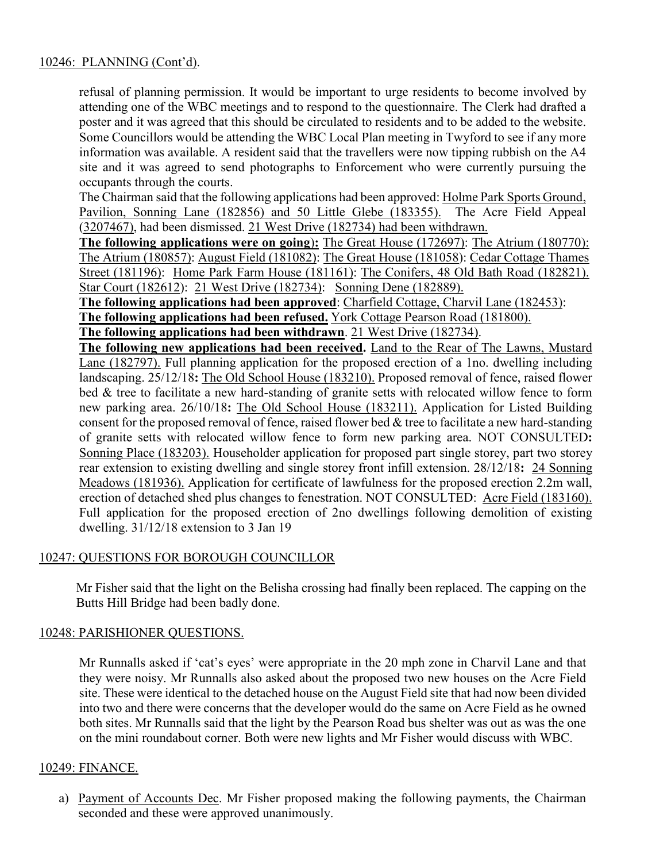#### 10246: PLANNING (Cont'd).

refusal of planning permission. It would be important to urge residents to become involved by attending one of the WBC meetings and to respond to the questionnaire. The Clerk had drafted a poster and it was agreed that this should be circulated to residents and to be added to the website. Some Councillors would be attending the WBC Local Plan meeting in Twyford to see if any more information was available. A resident said that the travellers were now tipping rubbish on the A4 site and it was agreed to send photographs to Enforcement who were currently pursuing the occupants through the courts.

The Chairman said that the following applications had been approved: Holme Park Sports Ground, Pavilion, Sonning Lane (182856) and 50 Little Glebe (183355). The Acre Field Appeal (3207467), had been dismissed. 21 West Drive (182734) had been withdrawn.

**The following applications were on going**)**:** The Great House (172697): The Atrium (180770): The Atrium (180857): August Field (181082): The Great House (181058): Cedar Cottage Thames Street (181196): Home Park Farm House (181161): The Conifers, 48 Old Bath Road (182821). Star Court (182612): 21 West Drive (182734): Sonning Dene (182889).

**The following applications had been approved**: Charfield Cottage, Charvil Lane (182453): **The following applications had been refused.** York Cottage Pearson Road (181800).

**The following applications had been withdrawn**. 21 West Drive (182734).

**The following new applications had been received.** Land to the Rear of The Lawns, Mustard Lane (182797). Full planning application for the proposed erection of a 1no. dwelling including landscaping. 25/12/18**:** The Old School House (183210). Proposed removal of fence, raised flower bed & tree to facilitate a new hard-standing of granite setts with relocated willow fence to form new parking area. 26/10/18**:** The Old School House (183211). Application for Listed Building consent for the proposed removal of fence, raised flower bed & tree to facilitate a new hard-standing of granite setts with relocated willow fence to form new parking area. NOT CONSULTED**:**  Sonning Place (183203). Householder application for proposed part single storey, part two storey rear extension to existing dwelling and single storey front infill extension. 28/12/18**:** 24 Sonning Meadows (181936). Application for certificate of lawfulness for the proposed erection 2.2m wall, erection of detached shed plus changes to fenestration. NOT CONSULTED: Acre Field (183160). Full application for the proposed erection of 2no dwellings following demolition of existing dwelling. 31/12/18 extension to 3 Jan 19

#### 10247: QUESTIONS FOR BOROUGH COUNCILLOR

Mr Fisher said that the light on the Belisha crossing had finally been replaced. The capping on the Butts Hill Bridge had been badly done.

#### 10248: PARISHIONER QUESTIONS.

Mr Runnalls asked if 'cat's eyes' were appropriate in the 20 mph zone in Charvil Lane and that they were noisy. Mr Runnalls also asked about the proposed two new houses on the Acre Field site. These were identical to the detached house on the August Field site that had now been divided into two and there were concerns that the developer would do the same on Acre Field as he owned both sites. Mr Runnalls said that the light by the Pearson Road bus shelter was out as was the one on the mini roundabout corner. Both were new lights and Mr Fisher would discuss with WBC.

#### 10249: FINANCE.

a) Payment of Accounts Dec. Mr Fisher proposed making the following payments, the Chairman seconded and these were approved unanimously.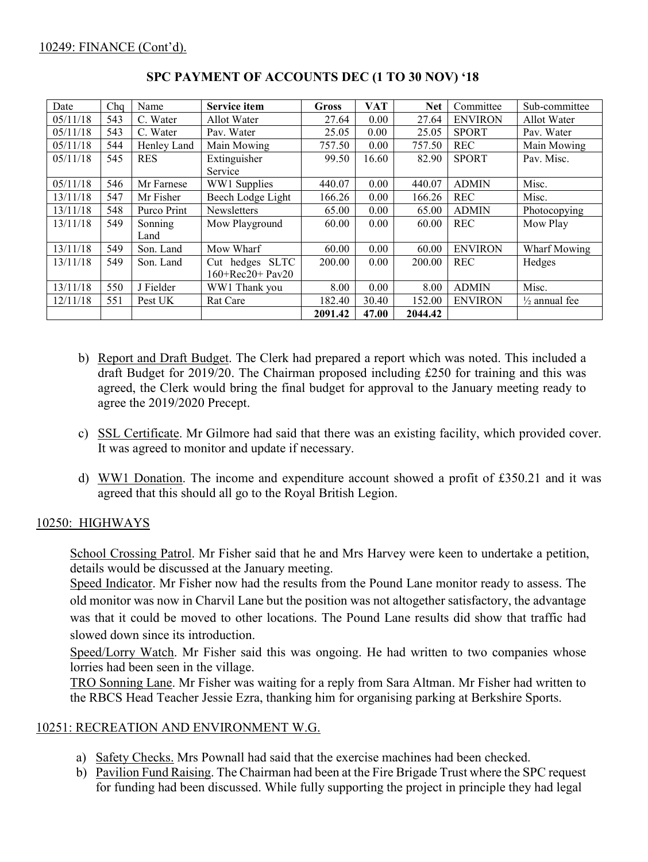| Date     | Chq | Name        | <b>Service item</b>   | <b>Gross</b> | <b>VAT</b> | <b>Net</b> | Committee      | Sub-committee            |
|----------|-----|-------------|-----------------------|--------------|------------|------------|----------------|--------------------------|
| 05/11/18 | 543 | C. Water    | Allot Water           | 27.64        | 0.00       | 27.64      | <b>ENVIRON</b> | Allot Water              |
| 05/11/18 | 543 | C. Water    | Pav. Water            | 25.05        | 0.00       | 25.05      | <b>SPORT</b>   | Pav. Water               |
| 05/11/18 | 544 | Henley Land | Main Mowing           | 757.50       | 0.00       | 757.50     | <b>REC</b>     | Main Mowing              |
| 05/11/18 | 545 | <b>RES</b>  | Extinguisher          | 99.50        | 16.60      | 82.90      | <b>SPORT</b>   | Pav. Misc.               |
|          |     |             | Service               |              |            |            |                |                          |
| 05/11/18 | 546 | Mr Farnese  | WW1 Supplies          | 440.07       | 0.00       | 440.07     | <b>ADMIN</b>   | Misc.                    |
| 13/11/18 | 547 | Mr Fisher   | Beech Lodge Light     | 166.26       | 0.00       | 166.26     | <b>REC</b>     | Misc.                    |
| 13/11/18 | 548 | Purco Print | Newsletters           | 65.00        | 0.00       | 65.00      | <b>ADMIN</b>   | Photocopying             |
| 13/11/18 | 549 | Sonning     | Mow Playground        | 60.00        | 0.00       | 60.00      | <b>REC</b>     | Mow Play                 |
|          |     | Land        |                       |              |            |            |                |                          |
| 13/11/18 | 549 | Son. Land   | Mow Wharf             | 60.00        | 0.00       | 60.00      | <b>ENVIRON</b> | Wharf Mowing             |
| 13/11/18 | 549 | Son. Land   | Cut hedges SLTC       | 200.00       | 0.00       | 200.00     | <b>REC</b>     | Hedges                   |
|          |     |             | $160 + Rec20 + Pav20$ |              |            |            |                |                          |
| 13/11/18 | 550 | J Fielder   | WW1 Thank you         | 8.00         | 0.00       | 8.00       | <b>ADMIN</b>   | Misc.                    |
| 12/11/18 | 551 | Pest UK     | <b>Rat Care</b>       | 182.40       | 30.40      | 152.00     | <b>ENVIRON</b> | $\frac{1}{2}$ annual fee |
|          |     |             |                       | 2091.42      | 47.00      | 2044.42    |                |                          |

# **SPC PAYMENT OF ACCOUNTS DEC (1 TO 30 NOV) '18**

- b) Report and Draft Budget. The Clerk had prepared a report which was noted. This included a draft Budget for 2019/20. The Chairman proposed including £250 for training and this was agreed, the Clerk would bring the final budget for approval to the January meeting ready to agree the 2019/2020 Precept.
- c) SSL Certificate. Mr Gilmore had said that there was an existing facility, which provided cover. It was agreed to monitor and update if necessary.
- d) WW1 Donation. The income and expenditure account showed a profit of £350.21 and it was agreed that this should all go to the Royal British Legion.

## 10250: HIGHWAYS

School Crossing Patrol. Mr Fisher said that he and Mrs Harvey were keen to undertake a petition, details would be discussed at the January meeting.

Speed Indicator. Mr Fisher now had the results from the Pound Lane monitor ready to assess. The old monitor was now in Charvil Lane but the position was not altogether satisfactory, the advantage was that it could be moved to other locations. The Pound Lane results did show that traffic had slowed down since its introduction.

Speed/Lorry Watch. Mr Fisher said this was ongoing. He had written to two companies whose lorries had been seen in the village.

TRO Sonning Lane. Mr Fisher was waiting for a reply from Sara Altman. Mr Fisher had written to the RBCS Head Teacher Jessie Ezra, thanking him for organising parking at Berkshire Sports.

## 10251: RECREATION AND ENVIRONMENT W.G.

- a) Safety Checks. Mrs Pownall had said that the exercise machines had been checked.
- b) Pavilion Fund Raising. The Chairman had been at the Fire Brigade Trust where the SPC request for funding had been discussed. While fully supporting the project in principle they had legal